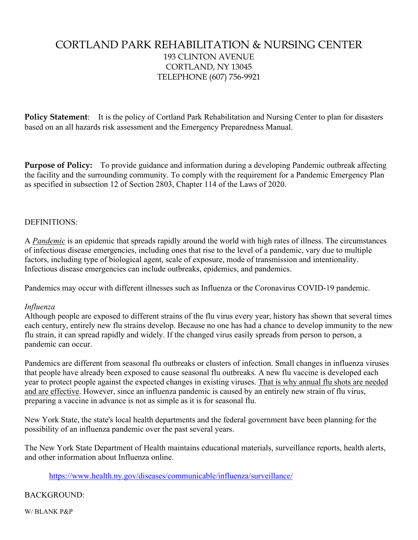# CORTLAND PARK REHABILITATION & NURSING CENTER 193 CLINTON AVENUE CORTLAND, NY 13045 TELEPHONE (607) 756-9921

**Policy Statement**: It is the policy of Cortland Park Rehabilitation and Nursing Center to plan for disasters based on an all hazards risk assessment and the Emergency Preparedness Manual.

**Purpose of Policy:** To provide guidance and information during a developing Pandemic outbreak affecting the facility and the surrounding community. To comply with the requirement for a Pandemic Emergency Plan as specified in subsection 12 of Section 2803, Chapter 114 of the Laws of 2020.

### DEFINITIONS:

A *Pandemic* is an epidemic that spreads rapidly around the world with high rates of illness. The circumstances of infectious disease emergencies, including ones that rise to the level of a pandemic, vary due to multiple factors, including type of biological agent, scale of exposure, mode of transmission and intentionality. Infectious disease emergencies can include outbreaks, epidemics, and pandemics.

Pandemics may occur with different illnesses such as Influenza or the Coronavirus COVID-19 pandemic.

#### *Influenza*

Although people are exposed to different strains of the flu virus every year, history has shown that several times each century, entirely new flu strains develop. Because no one has had a chance to develop immunity to the new flu strain, it can spread rapidly and widely. If the changed virus easily spreads from person to person, a pandemic can occur.

Pandemics are different from seasonal flu outbreaks or clusters of infection. Small changes in influenza viruses that people have already been exposed to cause seasonal flu outbreaks. A new flu vaccine is developed each year to protect people against the expected changes in existing viruses. [That is why annual flu shots are needed](https://www.health.ny.gov/diseases/communicable/influenza/seasonal/)  [and are effective.](https://www.health.ny.gov/diseases/communicable/influenza/seasonal/) However, since an influenza pandemic is caused by an entirely new strain of flu virus, preparing a vaccine in advance is not as simple as it is for seasonal flu.

New York State, the state's local health departments and the federal government have been planning for the possibility of an influenza pandemic over the past several years.

The New York State Department of Health maintains educational materials, surveillance reports, health alerts, and other information about Influenza online.

#### <https://www.health.ny.gov/diseases/communicable/influenza/surveillance/>

#### BACKGROUND:

W/ BLANK P&P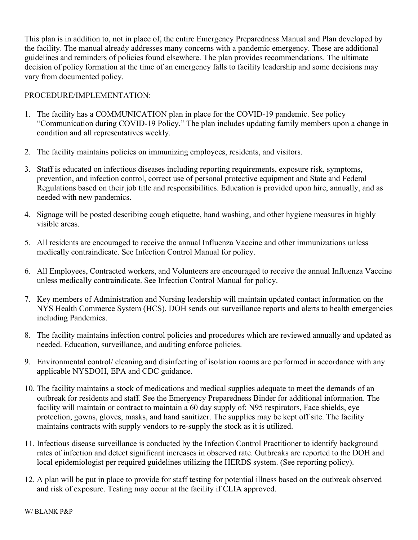This plan is in addition to, not in place of, the entire Emergency Preparedness Manual and Plan developed by the facility. The manual already addresses many concerns with a pandemic emergency. These are additional guidelines and reminders of policies found elsewhere. The plan provides recommendations. The ultimate decision of policy formation at the time of an emergency falls to facility leadership and some decisions may vary from documented policy.

## PROCEDURE/IMPLEMENTATION:

- 1. The facility has a COMMUNICATION plan in place for the COVID-19 pandemic. See policy "Communication during COVID-19 Policy." The plan includes updating family members upon a change in condition and all representatives weekly.
- 2. The facility maintains policies on immunizing employees, residents, and visitors.
- 3. Staff is educated on infectious diseases including reporting requirements, exposure risk, symptoms, prevention, and infection control, correct use of personal protective equipment and State and Federal Regulations based on their job title and responsibilities. Education is provided upon hire, annually, and as needed with new pandemics.
- 4. Signage will be posted describing cough etiquette, hand washing, and other hygiene measures in highly visible areas.
- 5. All residents are encouraged to receive the annual Influenza Vaccine and other immunizations unless medically contraindicate. See Infection Control Manual for policy.
- 6. All Employees, Contracted workers, and Volunteers are encouraged to receive the annual Influenza Vaccine unless medically contraindicate. See Infection Control Manual for policy.
- 7. Key members of Administration and Nursing leadership will maintain updated contact information on the NYS Health Commerce System (HCS). DOH sends out surveillance reports and alerts to health emergencies including Pandemics.
- 8. The facility maintains infection control policies and procedures which are reviewed annually and updated as needed. Education, surveillance, and auditing enforce policies.
- 9. Environmental control/ cleaning and disinfecting of isolation rooms are performed in accordance with any applicable NYSDOH, EPA and CDC guidance.
- 10. The facility maintains a stock of medications and medical supplies adequate to meet the demands of an outbreak for residents and staff. See the Emergency Preparedness Binder for additional information. The facility will maintain or contract to maintain a 60 day supply of: N95 respirators, Face shields, eye protection, gowns, gloves, masks, and hand sanitizer. The supplies may be kept off site. The facility maintains contracts with supply vendors to re-supply the stock as it is utilized.
- 11. Infectious disease surveillance is conducted by the Infection Control Practitioner to identify background rates of infection and detect significant increases in observed rate. Outbreaks are reported to the DOH and local epidemiologist per required guidelines utilizing the HERDS system. (See reporting policy).
- 12. A plan will be put in place to provide for staff testing for potential illness based on the outbreak observed and risk of exposure. Testing may occur at the facility if CLIA approved.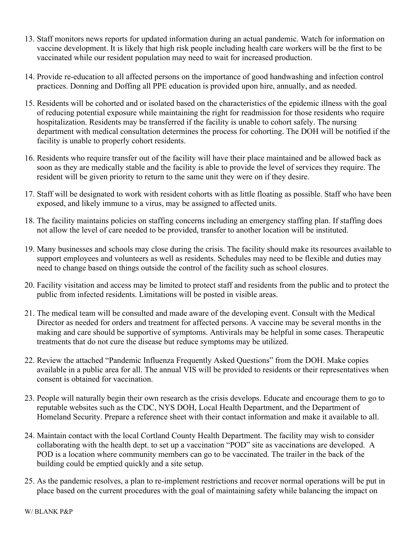- 13. Staff monitors news reports for updated information during an actual pandemic. Watch for information on vaccine development. It is likely that high risk people including health care workers will be the first to be vaccinated while our resident population may need to wait for increased production.
- 14. Provide re-education to all affected persons on the importance of good handwashing and infection control practices. Donning and Doffing all PPE education is provided upon hire, annually, and as needed.
- 15. Residents will be cohorted and or isolated based on the characteristics of the epidemic illness with the goal of reducing potential exposure while maintaining the right for readmission for those residents who require hospitalization. Residents may be transferred if the facility is unable to cohort safely. The nursing department with medical consultation determines the process for cohorting. The DOH will be notified if the facility is unable to properly cohort residents.
- 16. Residents who require transfer out of the facility will have their place maintained and be allowed back as soon as they are medically stable and the facility is able to provide the level of services they require. The resident will be given priority to return to the same unit they were on if they desire.
- 17. Staff will be designated to work with resident cohorts with as little floating as possible. Staff who have been exposed, and likely immune to a virus, may be assigned to affected units.
- 18. The facility maintains policies on staffing concerns including an emergency staffing plan. If staffing does not allow the level of care needed to be provided, transfer to another location will be instituted.
- 19. Many businesses and schools may close during the crisis. The facility should make its resources available to support employees and volunteers as well as residents. Schedules may need to be flexible and duties may need to change based on things outside the control of the facility such as school closures.
- 20. Facility visitation and access may be limited to protect staff and residents from the public and to protect the public from infected residents. Limitations will be posted in visible areas.
- 21. The medical team will be consulted and made aware of the developing event. Consult with the Medical Director as needed for orders and treatment for affected persons. A vaccine may be several months in the making and care should be supportive of symptoms. Antivirals may be helpful in some cases. Therapeutic treatments that do not cure the disease but reduce symptoms may be utilized.
- 22. Review the attached "Pandemic Influenza Frequently Asked Questions" from the DOH. Make copies available in a public area for all. The annual VIS will be provided to residents or their representatives when consent is obtained for vaccination.
- 23. People will naturally begin their own research as the crisis develops. Educate and encourage them to go to reputable websites such as the CDC, NYS DOH, Local Health Department, and the Department of Homeland Security. Prepare a reference sheet with their contact information and make it available to all.
- 24. Maintain contact with the local Cortland County Health Department. The facility may wish to consider collaborating with the health dept. to set up a vaccination "POD" site as vaccinations are developed. A POD is a location where community members can go to be vaccinated. The trailer in the back of the building could be emptied quickly and a site setup.
- 25. As the pandemic resolves, a plan to re-implement restrictions and recover normal operations will be put in place based on the current procedures with the goal of maintaining safety while balancing the impact on